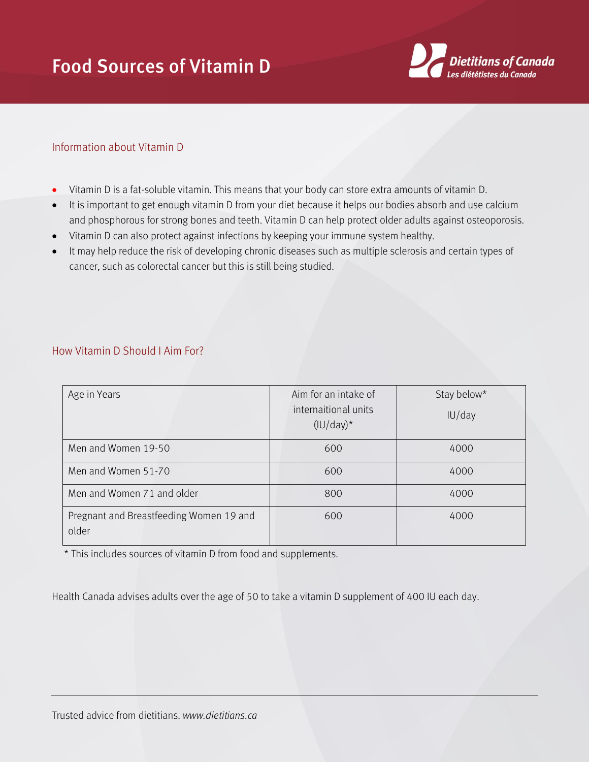## Food Sources of Vitamin D



## Information about Vitamin D

- Vitamin D is a fat-soluble vitamin. This means that your body can store extra amounts of vitamin D.
- It is important to get enough vitamin D from your diet because it helps our bodies absorb and use calcium and phosphorous for strong bones and teeth. Vitamin D can help protect older adults against osteoporosis.
- Vitamin D can also protect against infections by keeping your immune system healthy.
- It may help reduce the risk of developing chronic diseases such as multiple sclerosis and certain types of cancer, such as colorectal cancer but this is still being studied.

| Age in Years                                     | Aim for an intake of<br>internaitional units<br>$(IU/day)^*$ | Stay below*<br>IU/day |
|--------------------------------------------------|--------------------------------------------------------------|-----------------------|
| Men and Women 19-50                              | 600                                                          | 4000                  |
| Men and Women 51-70                              | 600                                                          | 4000                  |
| Men and Women 71 and older                       | 800                                                          | 4000                  |
| Pregnant and Breastfeeding Women 19 and<br>older | 600                                                          | 4000                  |

## How Vitamin D Should I Aim For?

\* This includes sources of vitamin D from food and supplements.

Health Canada advises adults over the age of 50 to take a vitamin D supplement of 400 IU each day.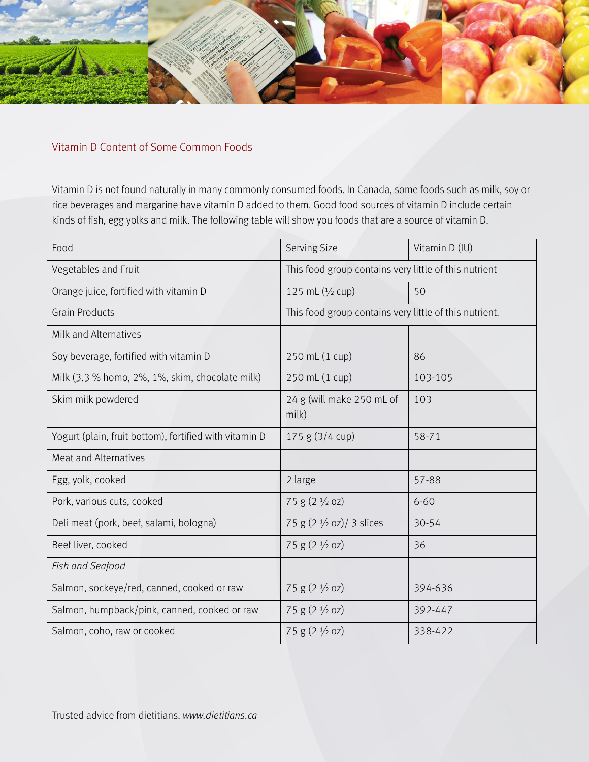

## Vitamin D Content of Some Common Foods

Vitamin D is not found naturally in many commonly consumed foods. In Canada, some foods such as milk, soy or rice beverages and margarine have vitamin D added to them. Good food sources of vitamin D include certain kinds of fish, egg yolks and milk. The following table will show you foods that are a source of vitamin D.

| Food                                                   | <b>Serving Size</b>                                    | Vitamin D (IU) |
|--------------------------------------------------------|--------------------------------------------------------|----------------|
| Vegetables and Fruit                                   | This food group contains very little of this nutrient  |                |
| Orange juice, fortified with vitamin D                 | 125 mL $(1/2$ cup)                                     | 50             |
| <b>Grain Products</b>                                  | This food group contains very little of this nutrient. |                |
| Milk and Alternatives                                  |                                                        |                |
| Soy beverage, fortified with vitamin D                 | 250 mL (1 cup)                                         | 86             |
| Milk (3.3 % homo, 2%, 1%, skim, chocolate milk)        | 250 mL (1 cup)                                         | 103-105        |
| Skim milk powdered                                     | 24 g (will make 250 mL of<br>milk)                     | 103            |
| Yogurt (plain, fruit bottom), fortified with vitamin D | 175 g (3/4 cup)                                        | 58-71          |
| <b>Meat and Alternatives</b>                           |                                                        |                |
| Egg, yolk, cooked                                      | 2 large                                                | 57-88          |
| Pork, various cuts, cooked                             | 75 g (2 1/2 oz)                                        | $6 - 60$       |
| Deli meat (pork, beef, salami, bologna)                | 75 g (2 1/2 oz)/ 3 slices                              | 30-54          |
| Beef liver, cooked                                     | 75 g $(2 \frac{1}{2}$ oz)                              | 36             |
| Fish and Seafood                                       |                                                        |                |
| Salmon, sockeye/red, canned, cooked or raw             | 75 g (2 1/2 oz)                                        | 394-636        |
| Salmon, humpback/pink, canned, cooked or raw           | $75 g (2 \frac{1}{2} oz)$                              | 392-447        |
| Salmon, coho, raw or cooked                            | 75 g (2 1/2 oz)                                        | 338-422        |